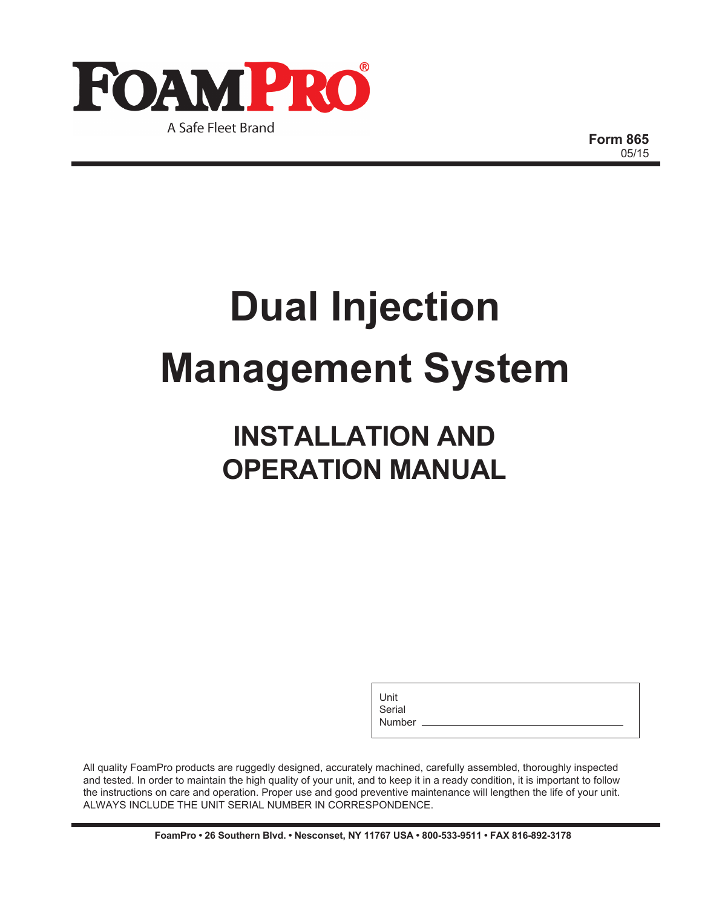

**Form 865** 05/15

## **Dual Injection Management System**

### **INSTALLATION AND OPERATION MANUAL**

Unit Serial

Number

All quality FoamPro products are ruggedly designed, accurately machined, carefully assembled, thoroughly inspected and tested. In order to maintain the high quality of your unit, and to keep it in a ready condition, it is important to follow the instructions on care and operation. Proper use and good preventive maintenance will lengthen the life of your unit. ALWAYS INCLUDE THE UNIT SERIAL NUMBER IN CORRESPONDENCE.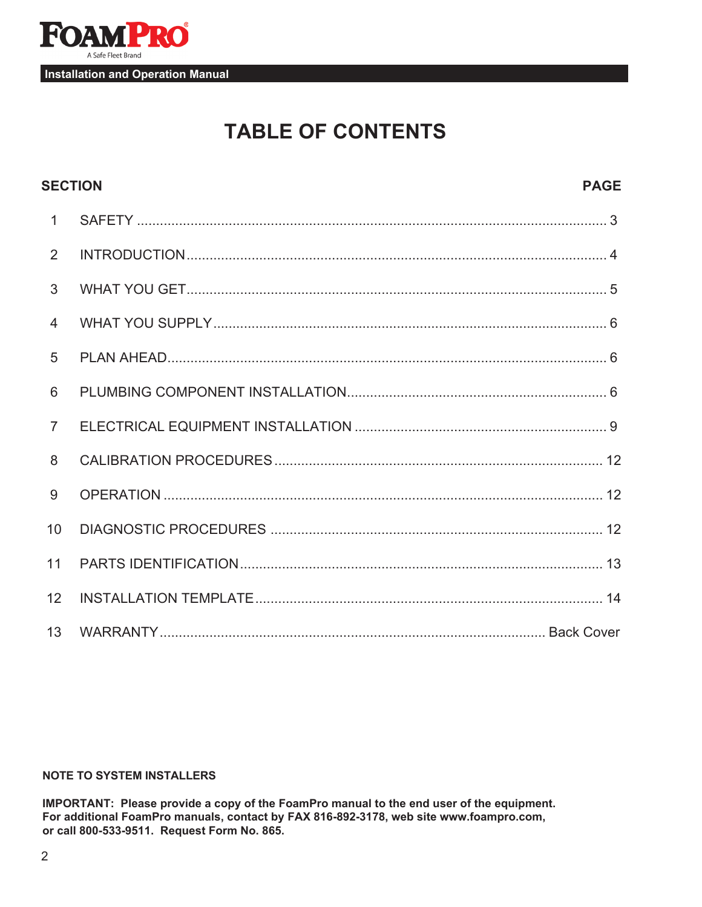

### **TABLE OF CONTENTS**

| <b>SECTION</b><br><b>PAGE</b> |  |  |  |
|-------------------------------|--|--|--|
| $\mathbf{1}$                  |  |  |  |
| 2                             |  |  |  |
| 3                             |  |  |  |
| $\overline{4}$                |  |  |  |
| 5                             |  |  |  |
| 6                             |  |  |  |
| $\overline{7}$                |  |  |  |
| 8                             |  |  |  |
| 9                             |  |  |  |
| 10                            |  |  |  |
| 11                            |  |  |  |
| 12                            |  |  |  |
| 13                            |  |  |  |

#### **NOTE TO SYSTEM INSTALLERS**

IMPORTANT: Please provide a copy of the FoamPro manual to the end user of the equipment. For additional FoamPro manuals, contact by FAX 816-892-3178, web site www.foampro.com, or call 800-533-9511. Request Form No. 865.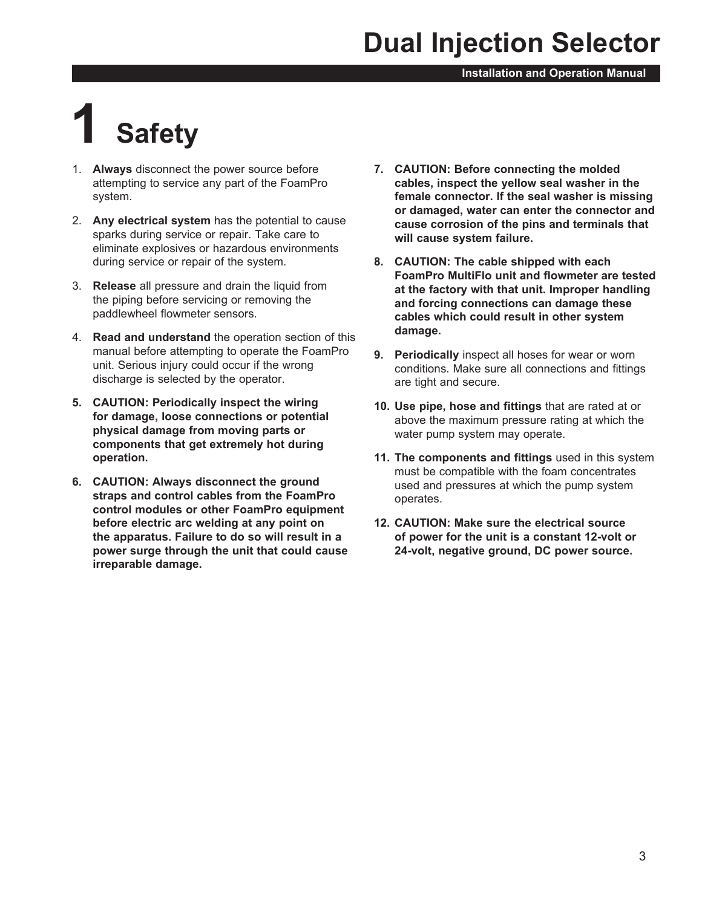# **1 Safety**

- 1. **Always** disconnect the power source before attempting to service any part of the FoamPro system.
- 2. **Any electrical system** has the potential to cause sparks during service or repair. Take care to eliminate explosives or hazardous environments during service or repair of the system.
- 3. **Release** all pressure and drain the liquid from the piping before servicing or removing the paddlewheel flowmeter sensors.
- 4. **Read and understand** the operation section of this manual before attempting to operate the FoamPro unit. Serious injury could occur if the wrong discharge is selected by the operator.
- **5. CAUTION: Periodically inspect the wiring for damage, loose connections or potential physical damage from moving parts or components that get extremely hot during operation.**
- **6. CAUTION: Always disconnect the ground straps and control cables from the FoamPro control modules or other FoamPro equipment before electric arc welding at any point on the apparatus. Failure to do so will result in a power surge through the unit that could cause irreparable damage.**
- **7. CAUTION: Before connecting the molded cables, inspect the yellow seal washer in the female connector. If the seal washer is missing or damaged, water can enter the connector and cause corrosion of the pins and terminals that will cause system failure.**
- **8. CAUTION: The cable shipped with each FoamPro MultiFlo unit and flowmeter are tested at the factory with that unit. Improper handling and forcing connections can damage these cables which could result in other system damage.**
- **9. Periodically** inspect all hoses for wear or worn conditions. Make sure all connections and fittings are tight and secure.
- **10. Use pipe, hose and fittings** that are rated at or above the maximum pressure rating at which the water pump system may operate.
- **11. The components and fittings** used in this system must be compatible with the foam concentrates used and pressures at which the pump system operates.
- **12. CAUTION: Make sure the electrical source of power for the unit is a constant 12-volt or 24-volt, negative ground, DC power source.**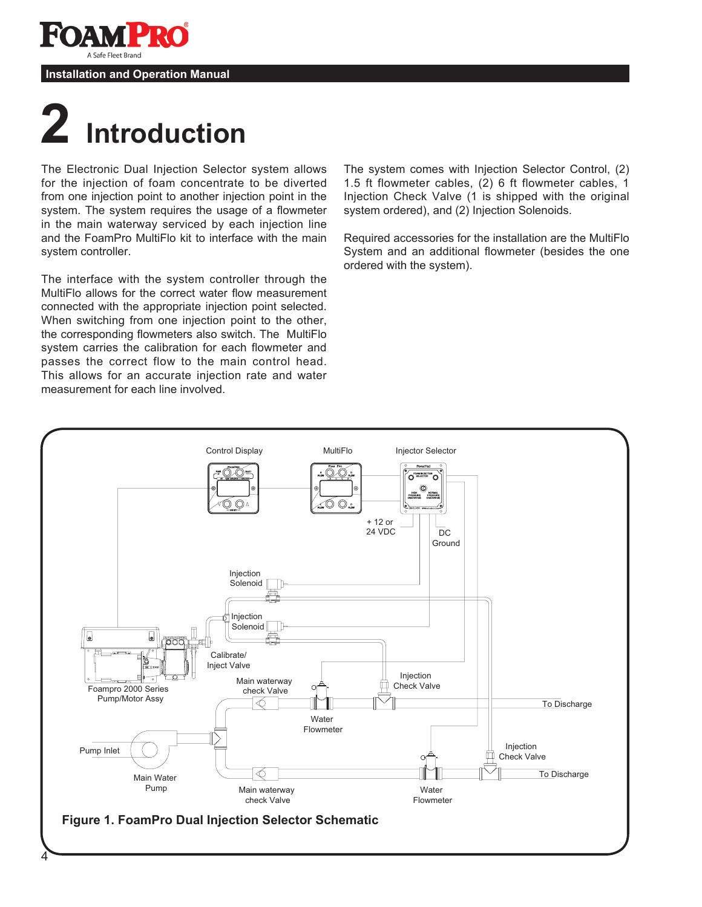

## **2 Introduction**

The Electronic Dual Injection Selector system allows for the injection of foam concentrate to be diverted from one injection point to another injection point in the system. The system requires the usage of a flowmeter in the main waterway serviced by each injection line and the FoamPro MultiFlo kit to interface with the main system controller.

The interface with the system controller through the MultiFlo allows for the correct water flow measurement connected with the appropriate injection point selected. When switching from one injection point to the other, the corresponding flowmeters also switch. The MultiFlo system carries the calibration for each flowmeter and passes the correct flow to the main control head. This allows for an accurate injection rate and water measurement for each line involved.

The system comes with Injection Selector Control, (2) 1.5 ft flowmeter cables, (2) 6 ft flowmeter cables, 1 Injection Check Valve (1 is shipped with the original system ordered), and (2) Injection Solenoids.

Required accessories for the installation are the MultiFlo System and an additional flowmeter (besides the one ordered with the system).

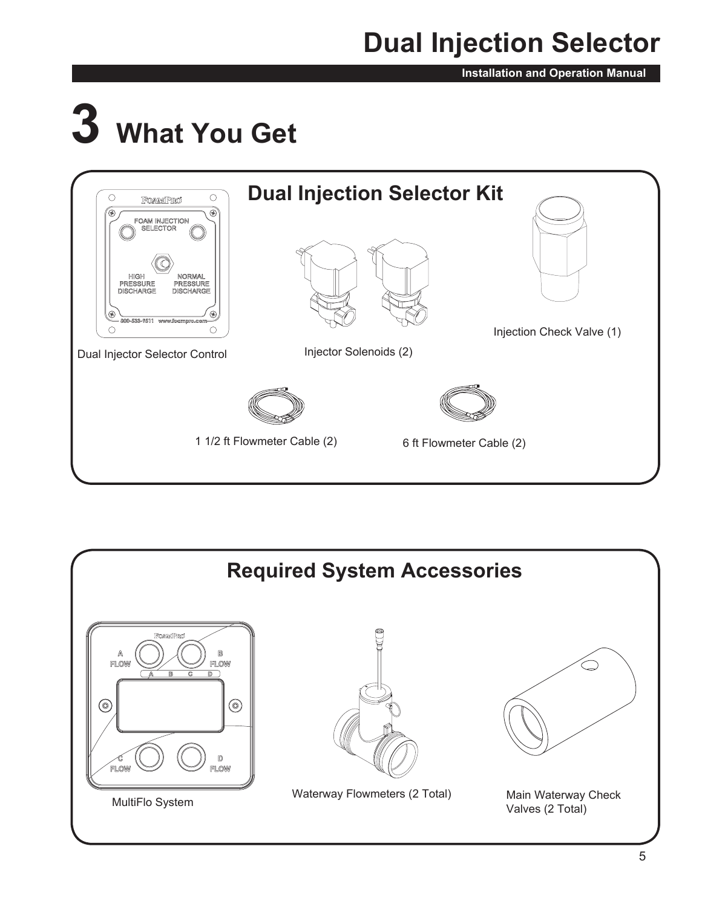**Installation and Operation Manual**

## **3 What You Get**



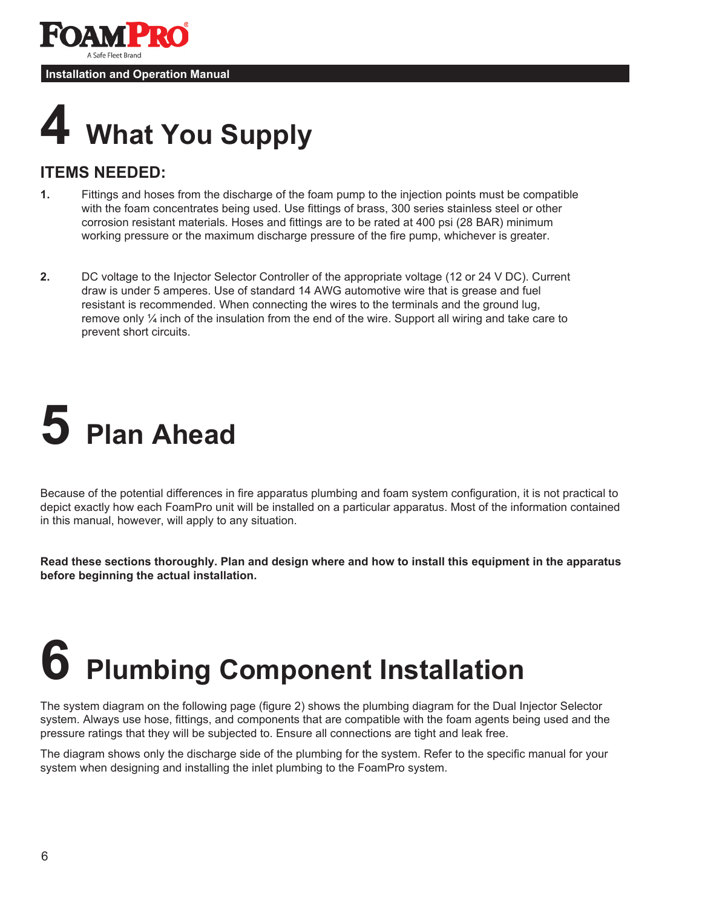

## **What You Supply**

#### **ITEMS NEEDED:**

- **1.** Fittings and hoses from the discharge of the foam pump to the injection points must be compatible with the foam concentrates being used. Use fittings of brass, 300 series stainless steel or other corrosion resistant materials. Hoses and fittings are to be rated at 400 psi (28 BAR) minimum working pressure or the maximum discharge pressure of the fire pump, whichever is greater.
- **2.** DC voltage to the Injector Selector Controller of the appropriate voltage (12 or 24 V DC). Current draw is under 5 amperes. Use of standard 14 AWG automotive wire that is grease and fuel resistant is recommended. When connecting the wires to the terminals and the ground lug, remove only  $\frac{1}{4}$  inch of the insulation from the end of the wire. Support all wiring and take care to prevent short circuits.

## **5 Plan Ahead**

Because of the potential differences in fire apparatus plumbing and foam system configuration, it is not practical to depict exactly how each FoamPro unit will be installed on a particular apparatus. Most of the information contained in this manual, however, will apply to any situation.

**Read these sections thoroughly. Plan and design where and how to install this equipment in the apparatus before beginning the actual installation.**

## **6 Plumbing Component Installation**

The system diagram on the following page (figure 2) shows the plumbing diagram for the Dual Injector Selector system. Always use hose, fittings, and components that are compatible with the foam agents being used and the pressure ratings that they will be subjected to. Ensure all connections are tight and leak free.

The diagram shows only the discharge side of the plumbing for the system. Refer to the specific manual for your system when designing and installing the inlet plumbing to the FoamPro system.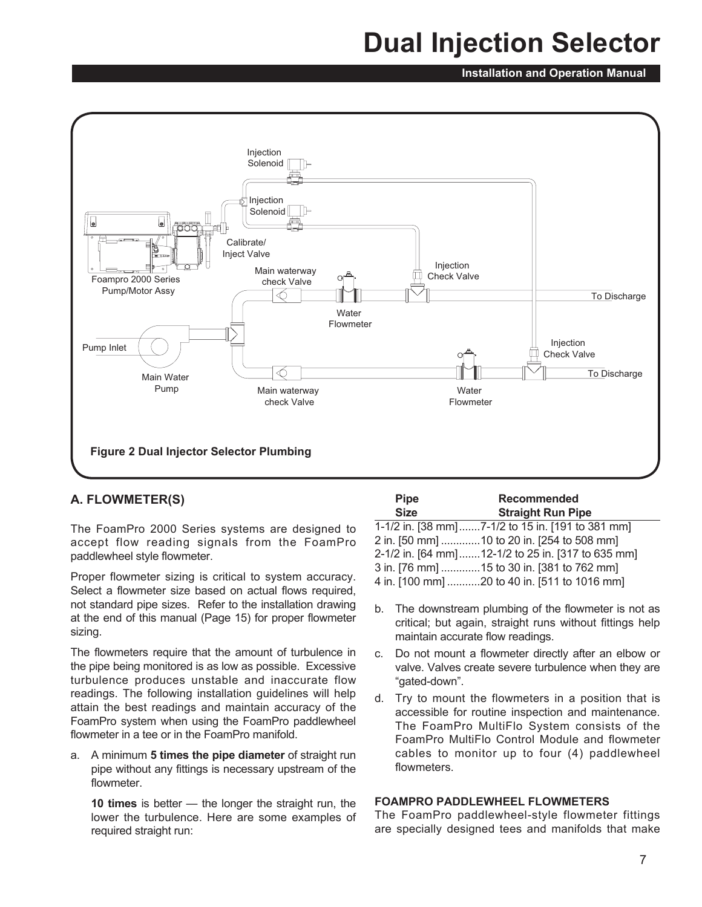#### **Installation and Operation Manual**



#### **A. FLOWMETER(S)**

The FoamPro 2000 Series systems are designed to accept flow reading signals from the FoamPro paddlewheel style flowmeter.

Proper flowmeter sizing is critical to system accuracy. Select a flowmeter size based on actual flows required, not standard pipe sizes. Refer to the installation drawing at the end of this manual (Page 15) for proper flowmeter sizing.

The flowmeters require that the amount of turbulence in the pipe being monitored is as low as possible. Excessive turbulence produces unstable and inaccurate flow readings. The following installation guidelines will help attain the best readings and maintain accuracy of the FoamPro system when using the FoamPro paddlewheel flowmeter in a tee or in the FoamPro manifold.

a. A minimum **5 times the pipe diameter** of straight run pipe without any fittings is necessary upstream of the flowmeter.

**10 times** is better — the longer the straight run, the lower the turbulence. Here are some examples of required straight run:

| Pipe | <b>Recommended</b>       |
|------|--------------------------|
| Size | <b>Straight Run Pipe</b> |

| 1-1/2 in. [38 mm]7-1/2 to 15 in. [191 to 381 mm]  |
|---------------------------------------------------|
| 2 in. [50 mm] 10 to 20 in. [254 to 508 mm]        |
| 2-1/2 in. [64 mm]12-1/2 to 25 in. [317 to 635 mm] |
| 3 in. [76 mm] 15 to 30 in. [381 to 762 mm]        |
| 4 in. [100 mm] 20 to 40 in. [511 to 1016 mm]      |
|                                                   |

- b. The downstream plumbing of the flowmeter is not as critical; but again, straight runs without fittings help maintain accurate flow readings.
- c. Do not mount a flowmeter directly after an elbow or valve. Valves create severe turbulence when they are "gated-down".
- d. Try to mount the flowmeters in a position that is accessible for routine inspection and maintenance. The FoamPro MultiFlo System consists of the FoamPro MultiFlo Control Module and flowmeter cables to monitor up to four (4) paddlewheel flowmeters.

#### **FOAMPRO PADDLEWHEEL FLOWMETERS**

The FoamPro paddlewheel-style flowmeter fittings are specially designed tees and manifolds that make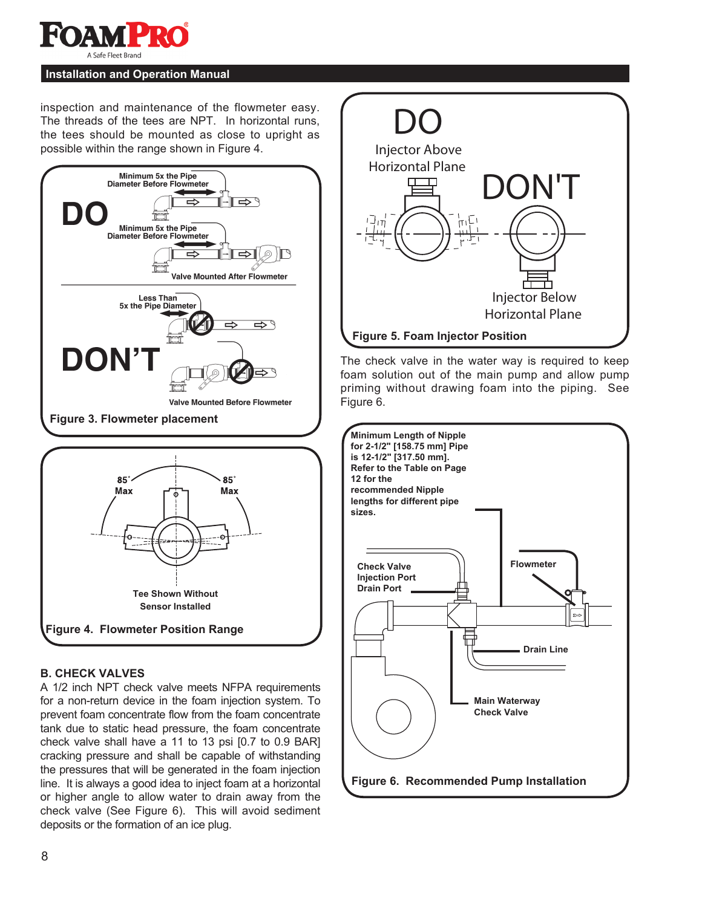

inspection and maintenance of the flowmeter easy. The threads of the tees are NPT. In horizontal runs, the tees should be mounted as close to upright as possible within the range shown in Figure 4.



#### **B. CHECK VALVES**

A 1/2 inch NPT check valve meets NFPA requirements for a non-return device in the foam injection system. To prevent foam concentrate flow from the foam concentrate tank due to static head pressure, the foam concentrate check valve shall have a 11 to 13 psi [0.7 to 0.9 BAR] cracking pressure and shall be capable of withstanding the pressures that will be generated in the foam injection line. It is always a good idea to inject foam at a horizontal or higher angle to allow water to drain away from the check valve (See Figure 6). This will avoid sediment deposits or the formation of an ice plug.



The check valve in the water way is required to keep foam solution out of the main pump and allow pump priming without drawing foam into the piping. See Figure 6.

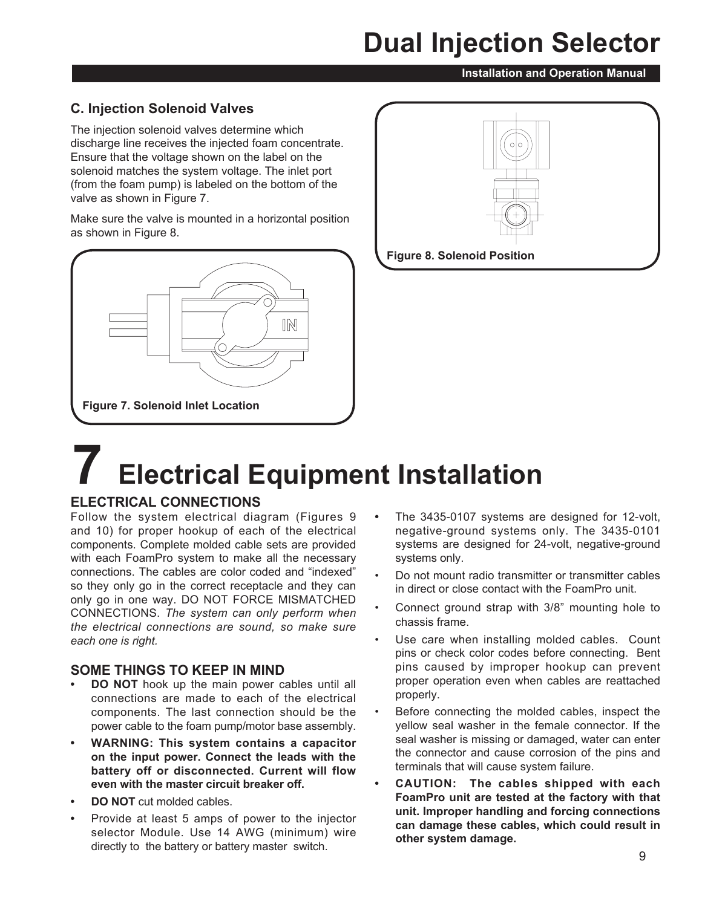#### **Installation and Operation Manual**

#### **C. Injection Solenoid Valves**

The injection solenoid valves determine which discharge line receives the injected foam concentrate. Ensure that the voltage shown on the label on the solenoid matches the system voltage. The inlet port (from the foam pump) is labeled on the bottom of the valve as shown in Figure 7.

Make sure the valve is mounted in a horizontal position as shown in Figure 8.





### **7 Electrical Equipment Installation**

#### **ELECTRICAL CONNECTIONS**

Follow the system electrical diagram (Figures 9 and 10) for proper hookup of each of the electrical components. Complete molded cable sets are provided with each FoamPro system to make all the necessary connections. The cables are color coded and "indexed" so they only go in the correct receptacle and they can only go in one way. DO NOT FORCE MISMATCHED CONNECTIONS. *The system can only perform when the electrical connections are sound, so make sure each one is right.*

#### **SOME THINGS TO KEEP IN MIND**

- **• DO NOT** hook up the main power cables until all connections are made to each of the electrical components. The last connection should be the power cable to the foam pump/motor base assembly.
- **• WARNING: This system contains a capacitor on the input power. Connect the leads with the battery off or disconnected. Current will flow even with the master circuit breaker off.**
- **• DO NOT** cut molded cables.
- **•** Provide at least 5 amps of power to the injector selector Module. Use 14 AWG (minimum) wire directly to the battery or battery master switch.
- **•** The 3435-0107 systems are designed for 12-volt, negative-ground systems only. The 3435-0101 systems are designed for 24-volt, negative-ground systems only.
- Do not mount radio transmitter or transmitter cables in direct or close contact with the FoamPro unit.
- Connect ground strap with 3/8" mounting hole to chassis frame.
- Use care when installing molded cables. Count pins or check color codes before connecting. Bent pins caused by improper hookup can prevent proper operation even when cables are reattached properly.
- Before connecting the molded cables, inspect the yellow seal washer in the female connector. If the seal washer is missing or damaged, water can enter the connector and cause corrosion of the pins and terminals that will cause system failure.
- **• CAUTION: The cables shipped with each FoamPro unit are tested at the factory with that unit. Improper handling and forcing connections can damage these cables, which could result in other system damage.**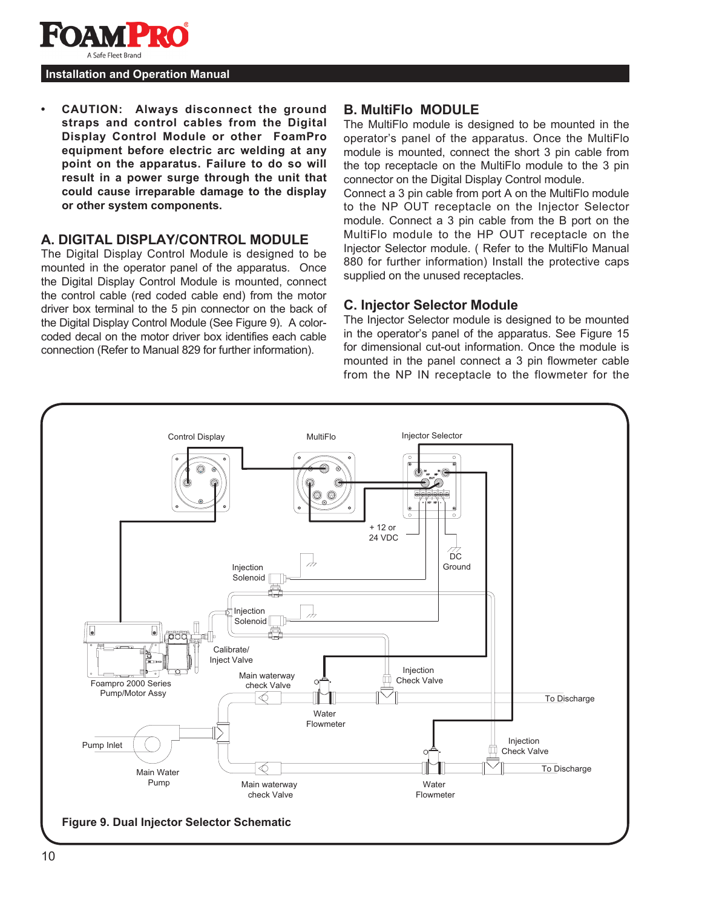

**• CAUTION: Always disconnect the ground straps and control cables from the Digital Display Control Module or other FoamPro equipment before electric arc welding at any point on the apparatus. Failure to do so will result in a power surge through the unit that could cause irreparable damage to the display or other system components.**

#### **A. DIGITAL DISPLAY/CONTROL MODULE**

The Digital Display Control Module is designed to be mounted in the operator panel of the apparatus. Once the Digital Display Control Module is mounted, connect the control cable (red coded cable end) from the motor driver box terminal to the 5 pin connector on the back of the Digital Display Control Module (See Figure 9). A colorcoded decal on the motor driver box identifies each cable connection (Refer to Manual 829 for further information).

#### **B. MultiFlo MODULE**

The MultiFlo module is designed to be mounted in the operator's panel of the apparatus. Once the MultiFlo module is mounted, connect the short 3 pin cable from the top receptacle on the MultiFlo module to the 3 pin connector on the Digital Display Control module.

Connect a 3 pin cable from port A on the MultiFlo module to the NP OUT receptacle on the Injector Selector module. Connect a 3 pin cable from the B port on the MultiFlo module to the HP OUT receptacle on the Injector Selector module. ( Refer to the MultiFlo Manual 880 for further information) Install the protective caps supplied on the unused receptacles.

#### **C. Injector Selector Module**

The Injector Selector module is designed to be mounted in the operator's panel of the apparatus. See Figure 15 for dimensional cut-out information. Once the module is mounted in the panel connect a 3 pin flowmeter cable from the NP IN receptacle to the flowmeter for the

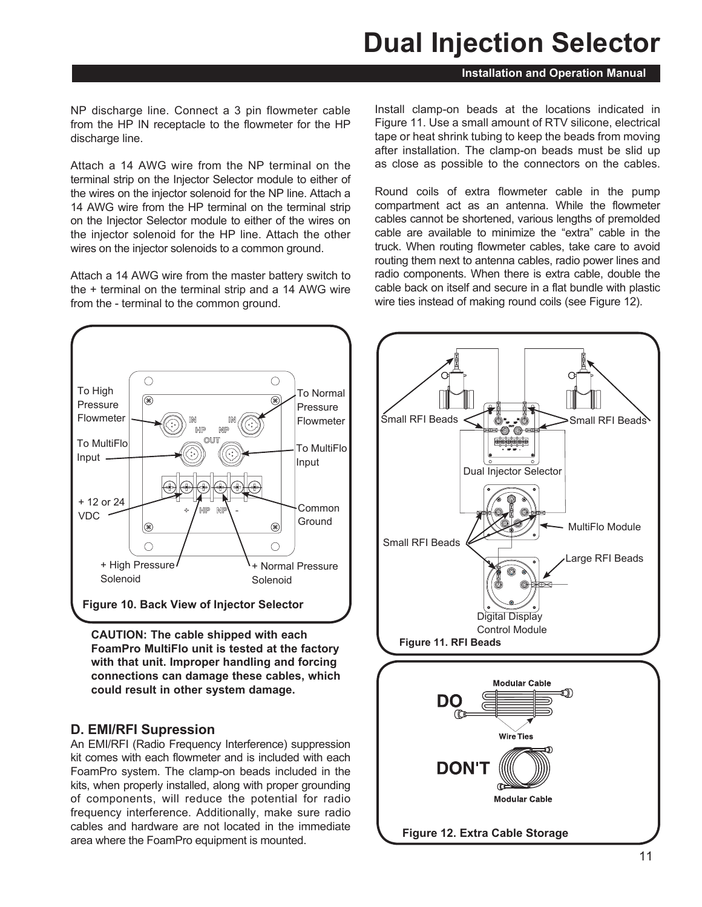#### **Installation and Operation Manual**

NP discharge line. Connect a 3 pin flowmeter cable from the HP IN receptacle to the flowmeter for the HP discharge line.

Attach a 14 AWG wire from the NP terminal on the terminal strip on the Injector Selector module to either of the wires on the injector solenoid for the NP line. Attach a 14 AWG wire from the HP terminal on the terminal strip on the Injector Selector module to either of the wires on the injector solenoid for the HP line. Attach the other wires on the injector solenoids to a common ground.

Attach a 14 AWG wire from the master battery switch to the + terminal on the terminal strip and a 14 AWG wire from the - terminal to the common ground.

Install clamp-on beads at the locations indicated in Figure 11. Use a small amount of RTV silicone, electrical tape or heat shrink tubing to keep the beads from moving after installation. The clamp-on beads must be slid up as close as possible to the connectors on the cables.

Round coils of extra flowmeter cable in the pump compartment act as an antenna. While the flowmeter cables cannot be shortened, various lengths of premolded cable are available to minimize the "extra" cable in the truck. When routing flowmeter cables, take care to avoid routing them next to antenna cables, radio power lines and radio components. When there is extra cable, double the cable back on itself and secure in a flat bundle with plastic wire ties instead of making round coils (see Figure 12).



**CAUTION: The cable shipped with each FoamPro MultiFlo unit is tested at the factory with that unit. Improper handling and forcing connections can damage these cables, which could result in other system damage.**

#### **D. EMI/RFI Supression**

An EMI/RFI (Radio Frequency Interference) suppression kit comes with each flowmeter and is included with each FoamPro system. The clamp-on beads included in the kits, when properly installed, along with proper grounding of components, will reduce the potential for radio frequency interference. Additionally, make sure radio cables and hardware are not located in the immediate area where the FoamPro equipment is mounted. **Figure 12. Extra Cable Storage**

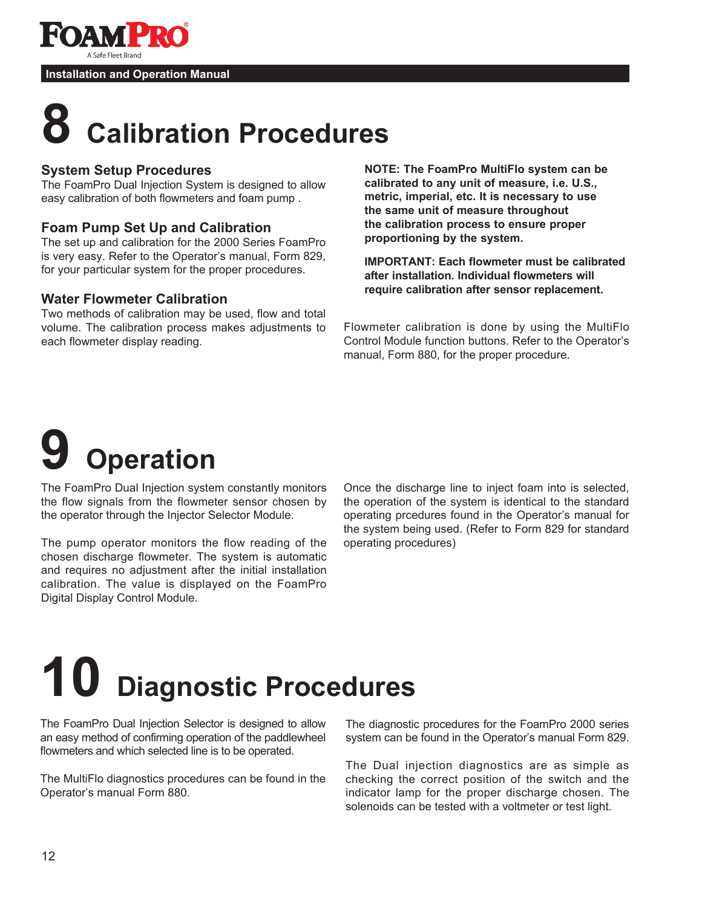## **8 Calibration Procedures**

#### **System Setup Procedures**

The FoamPro Dual Injection System is designed to allow easy calibration of both flowmeters and foam pump .

#### **Foam Pump Set Up and Calibration**

The set up and calibration for the 2000 Series FoamPro is very easy. Refer to the Operator's manual, Form 829, for your particular system for the proper procedures.

#### **Water Flowmeter Calibration**

Two methods of calibration may be used, flow and total volume. The calibration process makes adjustments to each flowmeter display reading.

**NOTE: The FoamPro MultiFlo system can be calibrated to any unit of measure, i.e. U.S., metric, imperial, etc. It is necessary to use the same unit of measure throughout the calibration process to ensure proper proportioning by the system.**

**IMPORTANT: Each flowmeter must be calibrated after installation. Individual flowmeters will require calibration after sensor replacement.**

Flowmeter calibration is done by using the MultiFlo Control Module function buttons. Refer to the Operator's manual, Form 880, for the proper procedure.

## **9 Operation**

The FoamPro Dual Injection system constantly monitors the flow signals from the flowmeter sensor chosen by the operator through the Injector Selector Module.

The pump operator monitors the flow reading of the chosen discharge flowmeter. The system is automatic and requires no adjustment after the initial installation calibration. The value is displayed on the FoamPro Digital Display Control Module.

Once the discharge line to inject foam into is selected, the operation of the system is identical to the standard operating prcedures found in the Operator's manual for the system being used. (Refer to Form 829 for standard operating procedures)

# **10 Diagnostic Procedures**

The FoamPro Dual Injection Selector is designed to allow an easy method of confirming operation of the paddlewheel flowmeters and which selected line is to be operated.

The MultiFlo diagnostics procedures can be found in the Operator's manual Form 880.

The diagnostic procedures for the FoamPro 2000 series system can be found in the Operator's manual Form 829.

The Dual injection diagnostics are as simple as checking the correct position of the switch and the indicator lamp for the proper discharge chosen. The solenoids can be tested with a voltmeter or test light.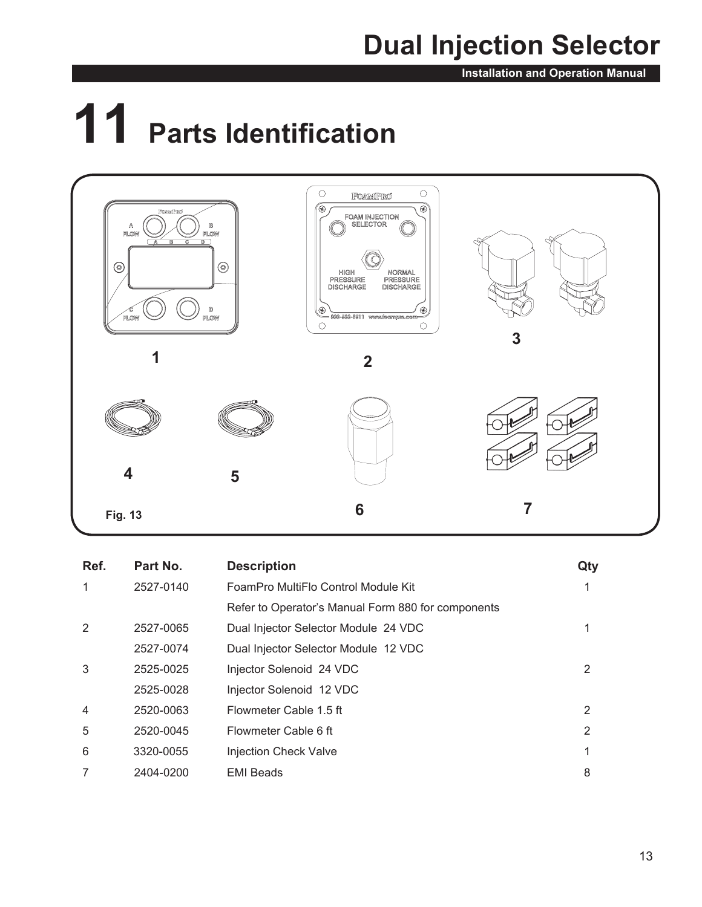**Installation and Operation Manual**

# **11 Parts Identification**



| Ref.           | Part No.  | <b>Description</b>                                 | Qty |
|----------------|-----------|----------------------------------------------------|-----|
| 1              | 2527-0140 | FoamPro MultiFlo Control Module Kit                |     |
|                |           | Refer to Operator's Manual Form 880 for components |     |
| 2              | 2527-0065 | Dual Injector Selector Module 24 VDC               |     |
|                | 2527-0074 | Dual Injector Selector Module 12 VDC               |     |
| 3              | 2525-0025 | Injector Solenoid 24 VDC                           | 2   |
|                | 2525-0028 | Injector Solenoid 12 VDC                           |     |
| $\overline{4}$ | 2520-0063 | Flowmeter Cable 1.5 ft                             | 2   |
| 5              | 2520-0045 | Flowmeter Cable 6 ft                               | 2   |
| 6              | 3320-0055 | <b>Injection Check Valve</b>                       |     |
| 7              | 2404-0200 | <b>EMI Beads</b>                                   | 8   |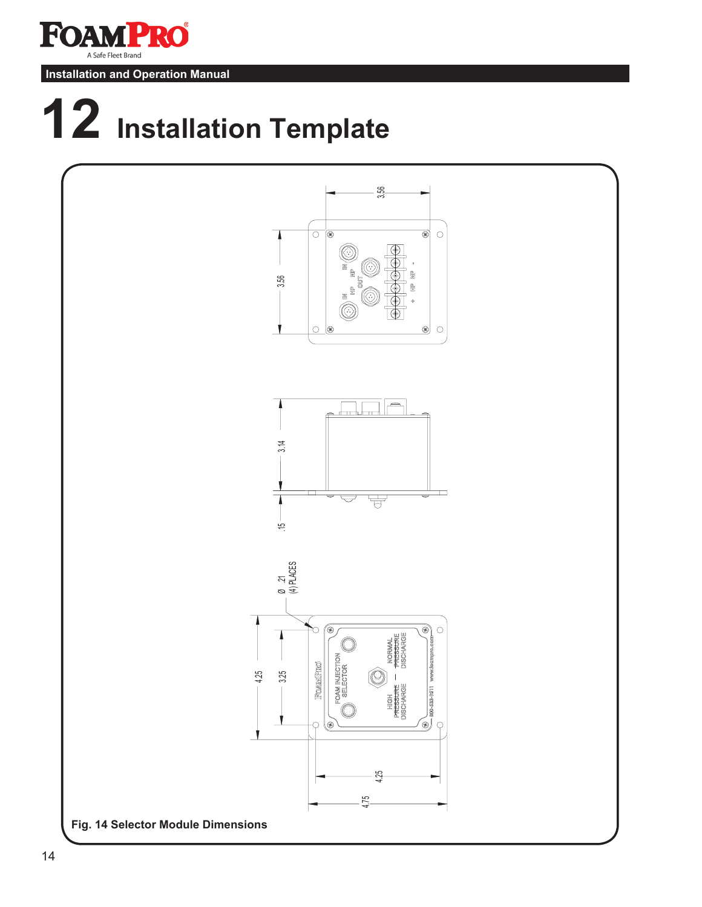

# **12 Installation Template**

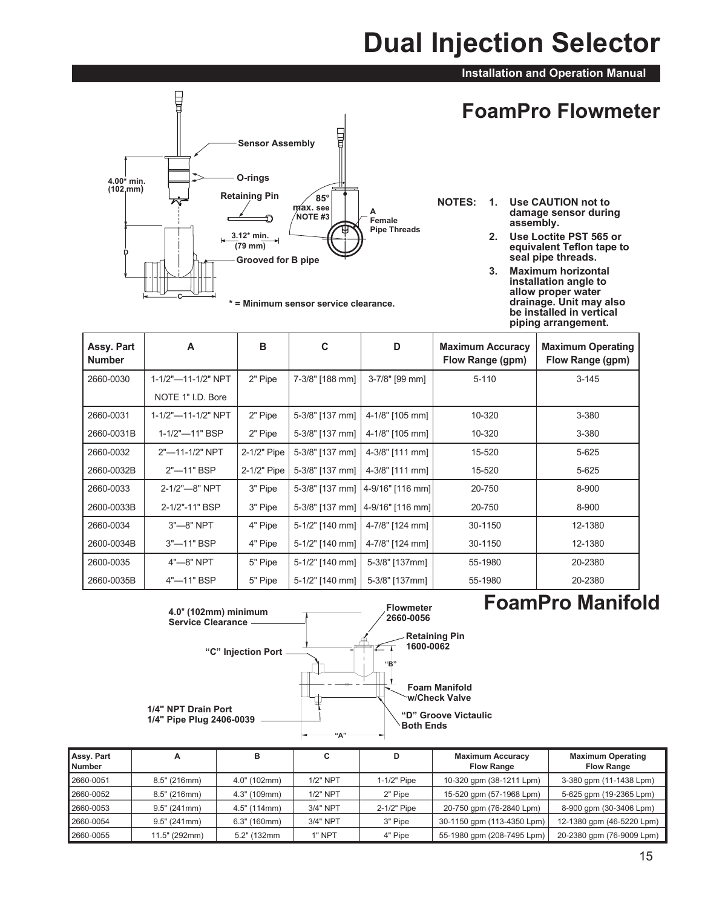**Installation and Operation Manual**



| Assy. Part<br><b>Number</b> | A                  | в           | C               | D                | <b>Maximum Accuracy</b><br>Flow Range (gpm) | <b>Maximum Operating</b><br>Flow Range (gpm) |
|-----------------------------|--------------------|-------------|-----------------|------------------|---------------------------------------------|----------------------------------------------|
| 2660-0030                   | 1-1/2"-11-1/2" NPT | 2" Pipe     | 7-3/8" [188 mm] | 3-7/8" [99 mm]   | $5 - 110$                                   | $3 - 145$                                    |
|                             | NOTE 1" I.D. Bore  |             |                 |                  |                                             |                                              |
| 2660-0031                   | 1-1/2"-11-1/2" NPT | 2" Pipe     | 5-3/8" [137 mm] | 4-1/8" [105 mm]  | 10-320                                      | 3-380                                        |
| 2660-0031B                  | 1-1/2"-11" BSP     | 2" Pipe     | 5-3/8" [137 mm] | 4-1/8" [105 mm]  | 10-320                                      | 3-380                                        |
| 2660-0032                   | 2"-11-1/2" NPT     | 2-1/2" Pipe | 5-3/8" [137 mm] | 4-3/8" [111 mm]  | 15-520                                      | 5-625                                        |
| 2660-0032B                  | 2"-11" BSP         | 2-1/2" Pipe | 5-3/8" [137 mm] | 4-3/8" [111 mm]  | 15-520                                      | 5-625                                        |
| 2660-0033                   | 2-1/2"-8" NPT      | 3" Pipe     | 5-3/8" [137 mm] | 4-9/16" [116 mm] | 20-750                                      | 8-900                                        |
| 2600-0033B                  | 2-1/2"-11" BSP     | 3" Pipe     | 5-3/8" [137 mm] | 4-9/16" [116 mm] | 20-750                                      | 8-900                                        |
| 2660-0034                   | 3"-8" NPT          | 4" Pipe     | 5-1/2" [140 mm] | 4-7/8" [124 mm]  | 30-1150                                     | 12-1380                                      |
| 2600-0034B                  | 3"-11" BSP         | 4" Pipe     | 5-1/2" [140 mm] | 4-7/8" [124 mm]  | 30-1150                                     | 12-1380                                      |
| 2600-0035                   | 4"-8" NPT          | 5" Pipe     | 5-1/2" [140 mm] | 5-3/8" [137mm]   | 55-1980                                     | 20-2380                                      |
| 2660-0035B                  | 4"-11" BSP         | 5" Pipe     | 5-1/2" [140 mm] | 5-3/8" [137mm]   | 55-1980                                     | 20-2380                                      |

### **FoamPro Manifold**



| Assy. Part<br>Number | А             | в              | С          |               | <b>Maximum Accuracy</b><br><b>Flow Range</b> | <b>Maximum Operating</b><br><b>Flow Range</b> |
|----------------------|---------------|----------------|------------|---------------|----------------------------------------------|-----------------------------------------------|
| 2660-0051            | 8.5" (216mm)  | 4.0" (102mm)   | $1/2"$ NPT | $1-1/2"$ Pipe | 10-320 qpm (38-1211 Lpm)                     | 3-380 gpm (11-1438 Lpm)                       |
| 2660-0052            | 8.5" (216mm)  | 4.3" (109mm)   | $1/2"$ NPT | 2" Pipe       | 15-520 qpm (57-1968 Lpm)                     | 5-625 qpm (19-2365 Lpm)                       |
| 2660-0053            | 9.5" (241mm)  | $4.5"$ (114mm) | 3/4" NPT   | 2-1/2" Pipe   | 20-750 gpm (76-2840 Lpm)                     | 8-900 gpm (30-3406 Lpm)                       |
| 2660-0054            | 9.5" (241mm)  | 6.3" (160mm)   | 3/4" NPT   | 3" Pipe       | 30-1150 gpm (113-4350 Lpm)                   | 12-1380 gpm (46-5220 Lpm)                     |
| 2660-0055            | 11.5" (292mm) | 5.2" (132mm    | 1" NPT     | 4" Pipe       | 55-1980 qpm (208-7495 Lpm)                   | 20-2380 qpm (76-9009 Lpm)                     |